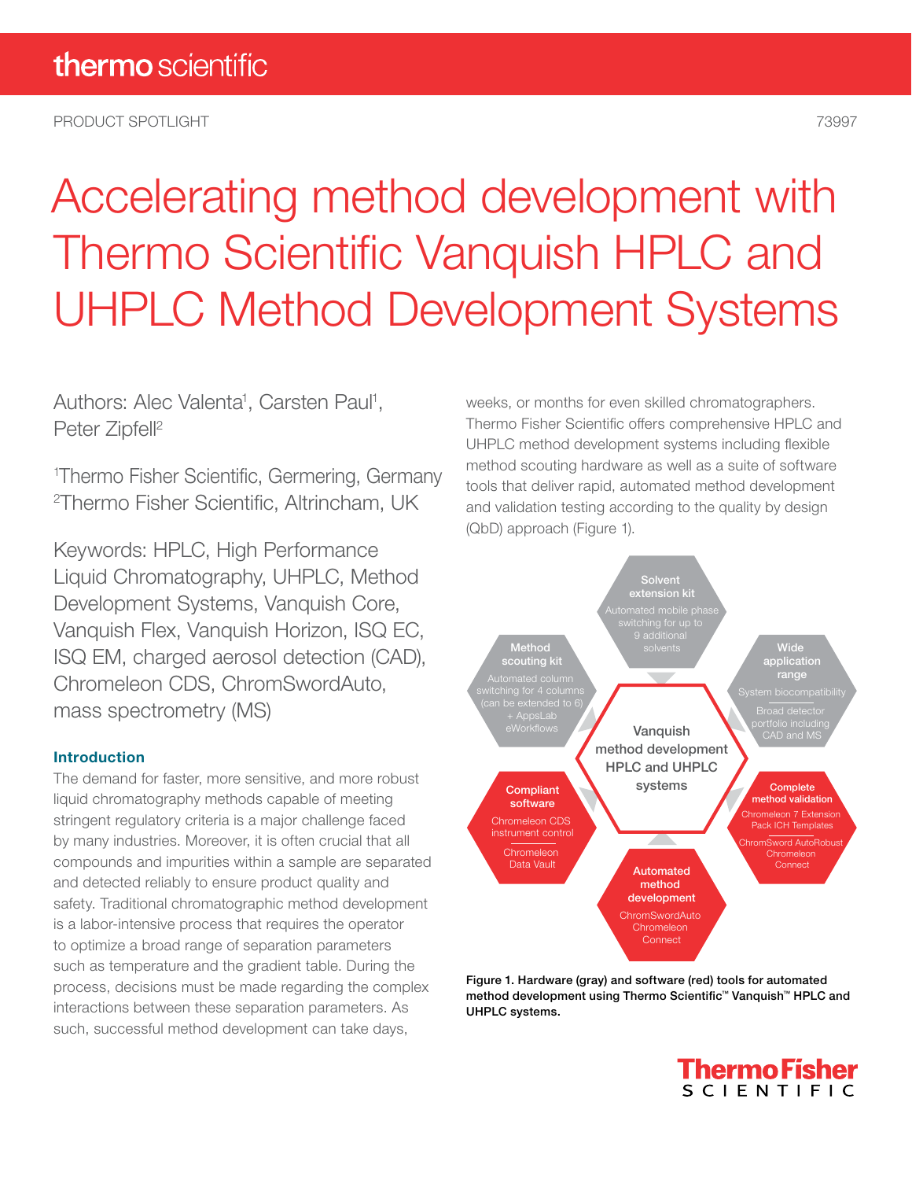PRODUCT SPOTLIGHT 73997

# Accelerating method development with Thermo Scientific Vanquish HPLC and UHPLC Method Development Systems

Authors: Alec Valenta<sup>1</sup>, Carsten Paul<sup>1</sup>, Peter Zipfell<sup>2</sup>

1 Thermo Fisher Scientific, Germering, Germany 2 Thermo Fisher Scientific, Altrincham, UK

Keywords: HPLC, High Performance Liquid Chromatography, UHPLC, Method Development Systems, Vanquish Core, Vanquish Flex, Vanquish Horizon, ISQ EC, ISQ EM, charged aerosol detection (CAD), Chromeleon CDS, ChromSwordAuto, mass spectrometry (MS)

### Introduction

The demand for faster, more sensitive, and more robust liquid chromatography methods capable of meeting stringent regulatory criteria is a major challenge faced by many industries. Moreover, it is often crucial that all compounds and impurities within a sample are separated and detected reliably to ensure product quality and safety. Traditional chromatographic method development is a labor-intensive process that requires the operator to optimize a broad range of separation parameters such as temperature and the gradient table. During the process, decisions must be made regarding the complex interactions between these separation parameters. As such, successful method development can take days,

weeks, or months for even skilled chromatographers. Thermo Fisher Scientific offers comprehensive HPLC and UHPLC method development systems including flexible method scouting hardware as well as a suite of software tools that deliver rapid, automated method development and validation testing according to the quality by design (QbD) approach (Figure 1).



Figure 1. Hardware (gray) and software (red) tools for automated method development using Thermo Scientific™ Vanquish™ HPLC and UHPLC systems.

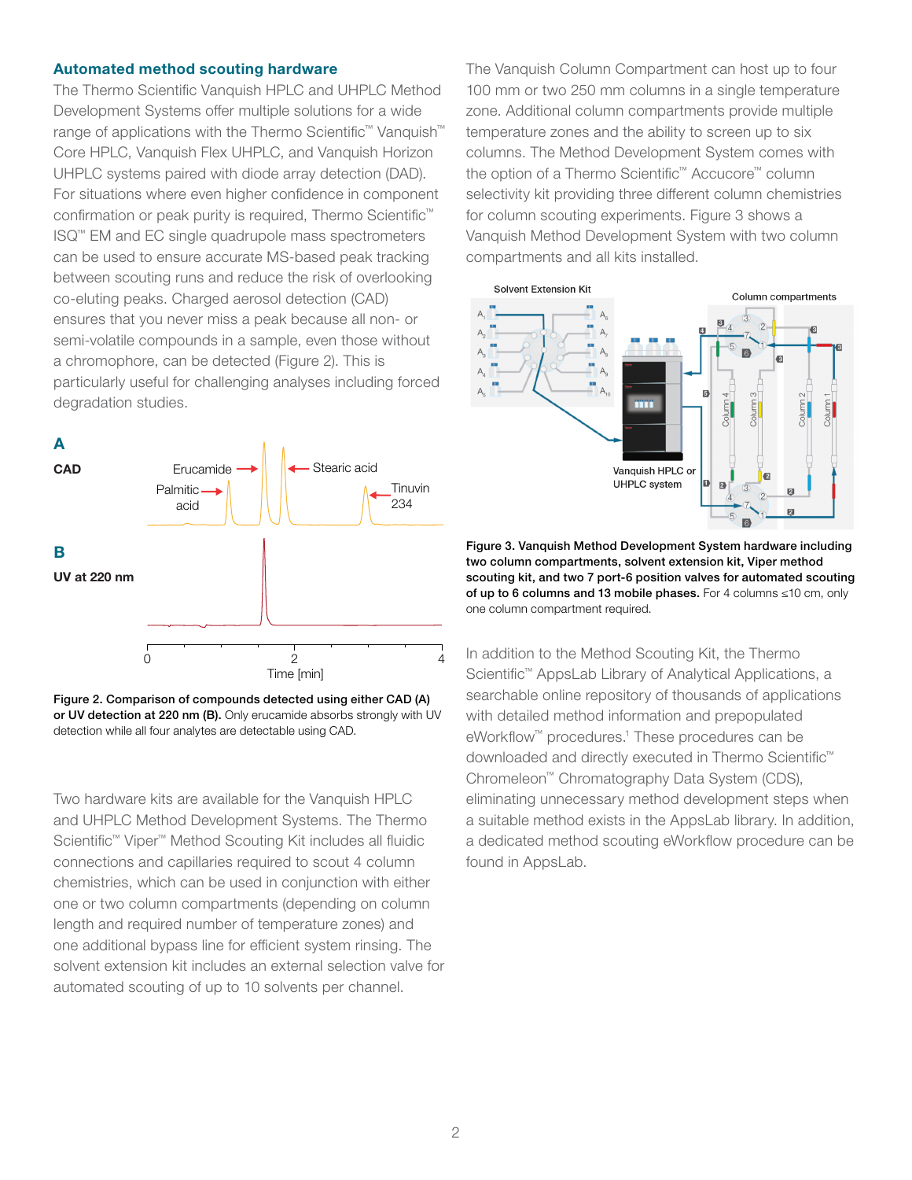### Automated method scouting hardware

The Thermo Scientific Vanquish HPLC and UHPLC Method Development Systems offer multiple solutions for a wide range of applications with the Thermo Scientific™ Vanquish™ Core HPLC, Vanquish Flex UHPLC, and Vanquish Horizon UHPLC systems paired with diode array detection (DAD). For situations where even higher confidence in component confirmation or peak purity is required, Thermo Scientific™ ISQ™ EM and EC single quadrupole mass spectrometers can be used to ensure accurate MS-based peak tracking between scouting runs and reduce the risk of overlooking co-eluting peaks. Charged aerosol detection (CAD) ensures that you never miss a peak because all non- or semi-volatile compounds in a sample, even those without a chromophore, can be detected (Figure 2). This is particularly useful for challenging analyses including forced degradation studies.



Figure 2. Comparison of compounds detected using either CAD (A) or UV detection at 220 nm (B). Only erucamide absorbs strongly with UV detection while all four analytes are detectable using CAD.

Two hardware kits are available for the Vanquish HPLC and UHPLC Method Development Systems. The Thermo Scientific™ Viper™ Method Scouting Kit includes all fluidic connections and capillaries required to scout 4 column chemistries, which can be used in conjunction with either one or two column compartments (depending on column length and required number of temperature zones) and one additional bypass line for efficient system rinsing. The solvent extension kit includes an external selection valve for automated scouting of up to 10 solvents per channel.

The Vanquish Column Compartment can host up to four 100 mm or two 250 mm columns in a single temperature zone. Additional column compartments provide multiple temperature zones and the ability to screen up to six columns. The Method Development System comes with the option of a Thermo Scientific™ Accucore™ column selectivity kit providing three different column chemistries for column scouting experiments. Figure 3 shows a Vanquish Method Development System with two column compartments and all kits installed.



Figure 3. Vanquish Method Development System hardware including two column compartments, solvent extension kit, Viper method scouting kit, and two 7 port-6 position valves for automated scouting of up to 6 columns and 13 mobile phases. For 4 columns ≤10 cm, only one column compartment required.

In addition to the Method Scouting Kit, the Thermo Scientific™ AppsLab Library of Analytical Applications, a searchable online repository of thousands of applications with detailed method information and prepopulated eWorkflow<sup>™</sup> procedures.<sup>1</sup> These procedures can be downloaded and directly executed in Thermo Scientific™ Chromeleon™ Chromatography Data System (CDS), eliminating unnecessary method development steps when a suitable method exists in the AppsLab library. In addition, a dedicated method scouting eWorkflow procedure can be found in AppsLab.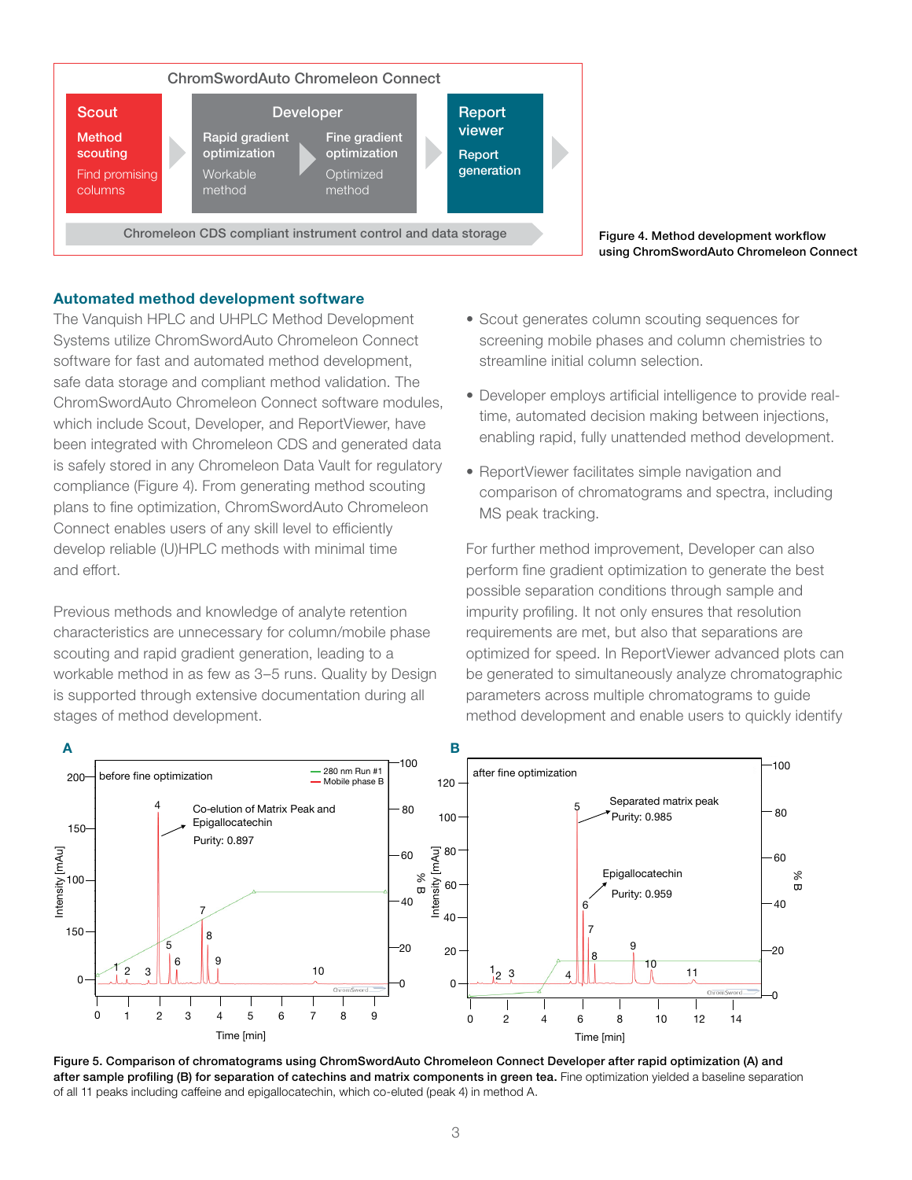

Figure 4. Method development workflow using ChromSwordAuto Chromeleon Connect

### Automated method development software

The Vanquish HPLC and UHPLC Method Development Systems utilize ChromSwordAuto Chromeleon Connect software for fast and automated method development, safe data storage and compliant method validation. The ChromSwordAuto Chromeleon Connect software modules, which include Scout, Developer, and ReportViewer, have been integrated with Chromeleon CDS and generated data is safely stored in any Chromeleon Data Vault for regulatory compliance (Figure 4). From generating method scouting plans to fine optimization, ChromSwordAuto Chromeleon Connect enables users of any skill level to efficiently develop reliable (U)HPLC methods with minimal time and effort.

Previous methods and knowledge of analyte retention characteristics are unnecessary for column/mobile phase scouting and rapid gradient generation, leading to a workable method in as few as 3–5 runs. Quality by Design is supported through extensive documentation during all stages of method development.

- Scout generates column scouting sequences for screening mobile phases and column chemistries to streamline initial column selection.
- Developer employs artificial intelligence to provide realtime, automated decision making between injections, enabling rapid, fully unattended method development.
- ReportViewer facilitates simple navigation and comparison of chromatograms and spectra, including MS peak tracking.

For further method improvement, Developer can also perform fine gradient optimization to generate the best possible separation conditions through sample and impurity profiling. It not only ensures that resolution requirements are met, but also that separations are optimized for speed. In ReportViewer advanced plots can be generated to simultaneously analyze chromatographic parameters across multiple chromatograms to guide method development and enable users to quickly identify



Figure 5. Comparison of chromatograms using ChromSwordAuto Chromeleon Connect Developer after rapid optimization (A) and after sample profiling (B) for separation of catechins and matrix components in green tea. Fine optimization yielded a baseline separation of all 11 peaks including caffeine and epigallocatechin, which co-eluted (peak 4) in method A.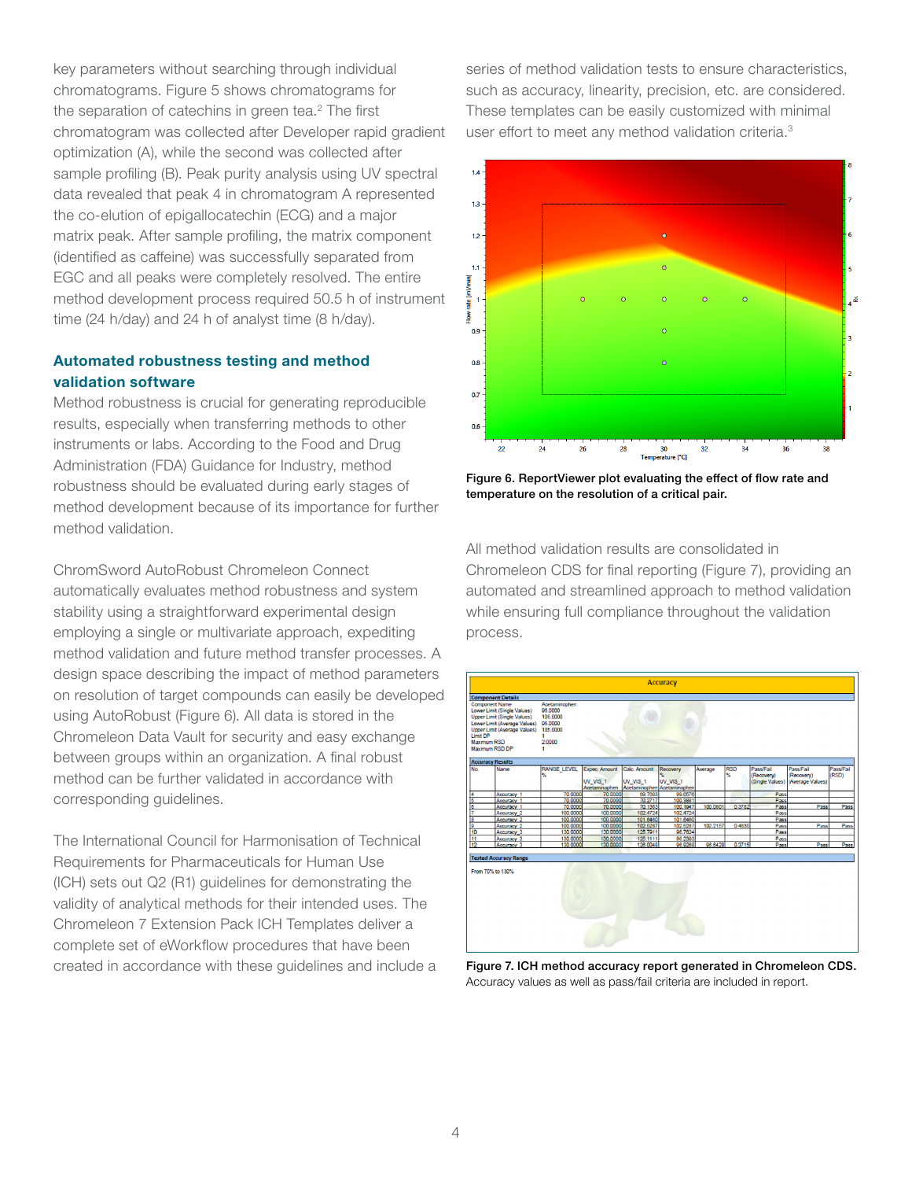key parameters without searching through individual chromatograms. Figure 5 shows chromatograms for the separation of catechins in green tea.<sup>2</sup> The first chromatogram was collected after Developer rapid gradient optimization (A), while the second was collected after sample profiling (B). Peak purity analysis using UV spectral data revealed that peak 4 in chromatogram A represented the co-elution of epigallocatechin (ECG) and a major matrix peak. After sample profiling, the matrix component (identified as caffeine) was successfully separated from EGC and all peaks were completely resolved. The entire method development process required 50.5 h of instrument time (24 h/day) and 24 h of analyst time (8 h/day).

### Automated robustness testing and method validation software

Method robustness is crucial for generating reproducible results, especially when transferring methods to other instruments or labs. According to the Food and Drug Administration (FDA) Guidance for Industry, method robustness should be evaluated during early stages of method development because of its importance for further method validation.

ChromSword AutoRobust Chromeleon Connect automatically evaluates method robustness and system stability using a straightforward experimental design employing a single or multivariate approach, expediting method validation and future method transfer processes. A design space describing the impact of method parameters on resolution of target compounds can easily be developed using AutoRobust (Figure 6). All data is stored in the Chromeleon Data Vault for security and easy exchange between groups within an organization. A final robust method can be further validated in accordance with corresponding guidelines.

The International Council for Harmonisation of Technical Requirements for Pharmaceuticals for Human Use (ICH) sets out Q2 (R1) guidelines for demonstrating the validity of analytical methods for their intended uses. The Chromeleon 7 Extension Pack ICH Templates deliver a complete set of eWorkflow procedures that have been created in accordance with these guidelines and include a series of method validation tests to ensure characteristics, such as accuracy, linearity, precision, etc. are considered. These templates can be easily customized with minimal user effort to meet any method validation criteria.<sup>3</sup>



Figure 6. ReportViewer plot evaluating the effect of flow rate and temperature on the resolution of a critical pair.

All method validation results are consolidated in Chromeleon CDS for final reporting (Figure 7), providing an automated and streamlined approach to method validation while ensuring full compliance throughout the validation process.



Figure 7. ICH method accuracy report generated in Chromeleon CDS. Accuracy values as well as pass/fail criteria are included in report.